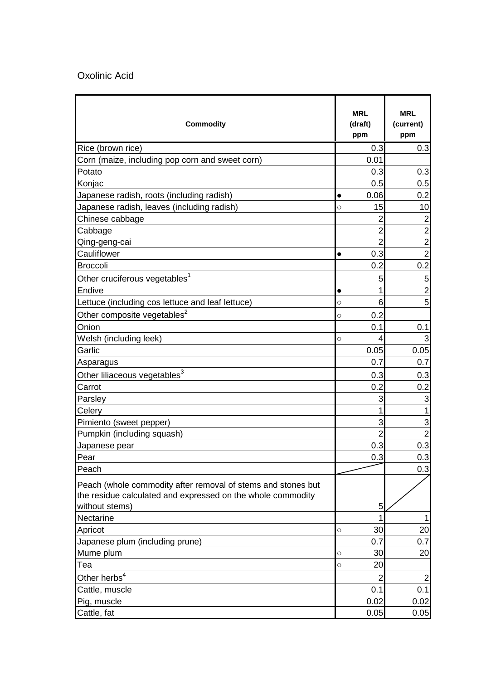## Oxolinic Acid

| <b>Commodity</b>                                                                                                                              |           | <b>MRL</b><br>(draft)<br>ppm | <b>MRL</b><br>(current)<br>ppm |
|-----------------------------------------------------------------------------------------------------------------------------------------------|-----------|------------------------------|--------------------------------|
| Rice (brown rice)                                                                                                                             |           | 0.3                          | 0.3                            |
| Corn (maize, including pop corn and sweet corn)                                                                                               |           | 0.01                         |                                |
| Potato                                                                                                                                        |           | 0.3                          | 0.3                            |
| Konjac                                                                                                                                        |           | 0.5                          | 0.5                            |
| Japanese radish, roots (including radish)                                                                                                     |           | 0.06                         | 0.2                            |
| Japanese radish, leaves (including radish)                                                                                                    | O         | 15                           | 10                             |
| Chinese cabbage                                                                                                                               |           | 2                            | $\overline{2}$                 |
| Cabbage                                                                                                                                       |           | 2                            | $\overline{2}$                 |
| Qing-geng-cai                                                                                                                                 |           | $\overline{2}$               | $\overline{2}$                 |
| Cauliflower                                                                                                                                   | $\bullet$ | 0.3                          | $\overline{2}$                 |
| <b>Broccoli</b>                                                                                                                               |           | 0.2                          | 0.2                            |
| Other cruciferous vegetables <sup>1</sup>                                                                                                     |           | 5                            | 5                              |
| <b>Endive</b>                                                                                                                                 | $\bullet$ |                              | $\overline{2}$                 |
| Lettuce (including cos lettuce and leaf lettuce)                                                                                              | O         | 6                            | 5                              |
| Other composite vegetables <sup>2</sup>                                                                                                       | $\circ$   | 0.2                          |                                |
| Onion                                                                                                                                         |           | 0.1                          | 0.1                            |
| Welsh (including leek)                                                                                                                        | O         | 4                            | 3                              |
| Garlic                                                                                                                                        |           | 0.05                         | 0.05                           |
| Asparagus                                                                                                                                     |           | 0.7                          | 0.7                            |
| Other liliaceous vegetables <sup>3</sup>                                                                                                      |           | 0.3                          | 0.3                            |
| Carrot                                                                                                                                        |           | 0.2                          | 0.2                            |
| Parsley                                                                                                                                       |           | 3                            | 3                              |
| Celery                                                                                                                                        |           |                              |                                |
| Pimiento (sweet pepper)                                                                                                                       |           | 3                            | 3                              |
| Pumpkin (including squash)                                                                                                                    |           |                              | $\overline{2}$                 |
| Japanese pear                                                                                                                                 |           | 0.3                          | 0.3                            |
| Pear                                                                                                                                          |           | 0.3                          | 0.3                            |
| Peach                                                                                                                                         |           |                              | 0.3                            |
| Peach (whole commodity after removal of stems and stones but<br>the residue calculated and expressed on the whole commodity<br>without stems) |           | 5                            |                                |
| <b>Nectarine</b>                                                                                                                              |           |                              |                                |
| Apricot                                                                                                                                       | $\circ$   | 30                           | 20                             |
| Japanese plum (including prune)                                                                                                               |           | 0.7                          | 0.7                            |
| Mume plum                                                                                                                                     | $\circ$   | 30                           | 20                             |
| Tea                                                                                                                                           | O         | 20                           |                                |
| Other herbs <sup>4</sup>                                                                                                                      |           | 2                            | 2                              |
| Cattle, muscle                                                                                                                                |           | 0.1                          | 0.1                            |
| Pig, muscle                                                                                                                                   |           | 0.02                         | 0.02                           |
| Cattle, fat                                                                                                                                   |           | 0.05                         | 0.05                           |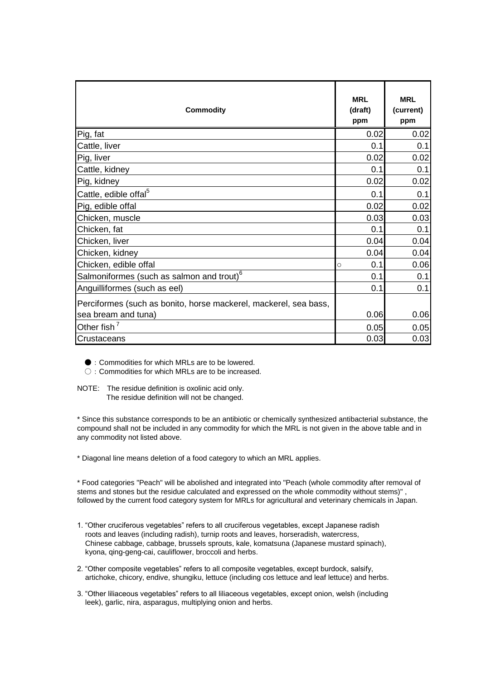| <b>Commodity</b>                                                 | <b>MRL</b><br>(draft)<br>ppm | <b>MRL</b><br>(current)<br>ppm |
|------------------------------------------------------------------|------------------------------|--------------------------------|
| Pig, fat                                                         | 0.02                         | 0.02                           |
| Cattle, liver                                                    | 0.1                          | 0.1                            |
| Pig, liver                                                       | 0.02                         | 0.02                           |
| Cattle, kidney                                                   | 0.1                          | 0.1                            |
| Pig, kidney                                                      | 0.02                         | 0.02                           |
| Cattle, edible offal <sup>5</sup>                                | 0.1                          | 0.1                            |
| Pig, edible offal                                                | 0.02                         | 0.02                           |
| Chicken, muscle                                                  | 0.03                         | 0.03                           |
| Chicken, fat                                                     | 0.1                          | 0.1                            |
| Chicken, liver                                                   | 0.04                         | 0.04                           |
| Chicken, kidney                                                  | 0.04                         | 0.04                           |
| Chicken, edible offal                                            | 0.1<br>$\bigcirc$            | 0.06                           |
| Salmoniformes (such as salmon and trout) <sup>6</sup>            | 0.1                          | 0.1                            |
| Anguilliformes (such as eel)                                     | 0.1                          | 0.1                            |
| Perciformes (such as bonito, horse mackerel, mackerel, sea bass, |                              |                                |
| sea bream and tuna)                                              | 0.06                         | 0.06                           |
| Other fish <sup>7</sup>                                          | 0.05                         | 0.05                           |
| <b>Crustaceans</b>                                               | 0.03                         | 0.03                           |

● : Commodities for which MRLs are to be lowered.

○: Commodities for which MRLs are to be increased.

NOTE: The residue definition is oxolinic acid only. The residue definition will not be changed.

\* Since this substance corresponds to be an antibiotic or chemically synthesized antibacterial substance, the compound shall not be included in any commodity for which the MRL is not given in the above table and in any commodity not listed above.

\* Diagonal line means deletion of a food category to which an MRL applies.

\* Food categories "Peach" will be abolished and integrated into "Peach (whole commodity after removal of stems and stones but the residue calculated and expressed on the whole commodity without stems)" , followed by the current food category system for MRLs for agricultural and veterinary chemicals in Japan.

- 1. "Other cruciferous vegetables" refers to all cruciferous vegetables, except Japanese radish roots and leaves (including radish), turnip roots and leaves, horseradish, watercress, Chinese cabbage, cabbage, brussels sprouts, kale, komatsuna (Japanese mustard spinach), kyona, qing-geng-cai, cauliflower, broccoli and herbs.
- 2. "Other composite vegetables" refers to all composite vegetables, except burdock, salsify, artichoke, chicory, endive, shungiku, lettuce (including cos lettuce and leaf lettuce) and herbs.
- 3. "Other liliaceous vegetables" refers to all liliaceous vegetables, except onion, welsh (including leek), garlic, nira, asparagus, multiplying onion and herbs.